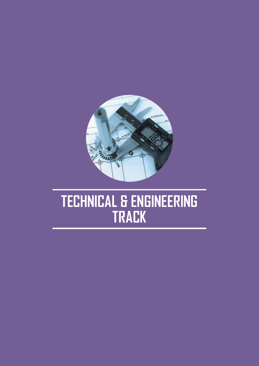

# **TECHNICAL & ENGINEERING TRACK**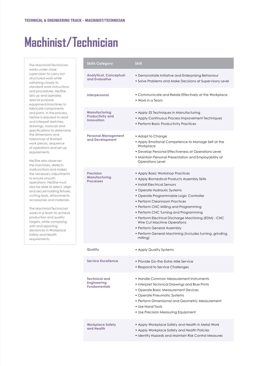# **Machinist/Technician**

The Machinist/Technician works under close supervision to carry out structured work while adhering closely to standard work instructions and procedures. He/She sets up and operates special purpose equipment/machines to fabricate components and parts. In the process, he/she is required to read and interpret sketches, drawings, manuals and specifications to determine the dimensions and tolerances of finished work pieces, sequence of operations and set-up requirements.

He/She also observes the machines, detects malfunctions and makes the necessary adjustments to ensure smooth operations. He/She must also be able to select, align and secure holding fixtures, cutting tools, attachments, accessories and materials.

The Machinist/Technician works in a team to achieve production and quality targets, while complying with and reporting deviances in Workplace Safety and Health requirements.

| <b>Skills Category</b>                                            | <b>Skill</b>                                                                                                                                                                                                                                                                                                                                                                                                                                                                                              |
|-------------------------------------------------------------------|-----------------------------------------------------------------------------------------------------------------------------------------------------------------------------------------------------------------------------------------------------------------------------------------------------------------------------------------------------------------------------------------------------------------------------------------------------------------------------------------------------------|
| <b>Analytical, Conceptual</b><br>and Evaluative                   | • Demonstrate Initiative and Enterprising Behaviour<br>• Solve Problems and Make Decisions at Supervisory Level                                                                                                                                                                                                                                                                                                                                                                                           |
| Interpersonal                                                     | • Communicate and Relate Effectively at the Workplace<br>$\bullet$ Work in a Team                                                                                                                                                                                                                                                                                                                                                                                                                         |
| Manufacturing<br><b>Productivity and</b><br><b>Innovation</b>     | • Apply 5S Techniques in Manufacturing<br>• Apply Continuous Process Improvement Techniques<br>• Perform Basic Productivity Practices                                                                                                                                                                                                                                                                                                                                                                     |
| <b>Personal Management</b><br>and Development                     | • Adapt to Change<br>• Apply Emotional Competence to Manage Self at the<br>Workplace<br>• Develop Personal Effectiveness at Operations Level<br>• Maintain Personal Presentation and Employability at<br><b>Operations Level</b>                                                                                                                                                                                                                                                                          |
| <b>Precision</b><br>Manufacturing<br><b>Processes</b>             | • Apply Basic Workshop Practices<br>• Apply Biomedical Products Assembly Skills<br>• Install Electrical Sensors<br>• Operate Hydraulic Systems<br>• Operate Programmable Logic Controller<br>• Perform Cleanroom Practices<br>• Perform CNC Milling and Programming<br>• Perform CNC Turning and Programming<br>• Perform Electrical Discharge Machining (EDM) - CNC<br>Wire Cut Machine Operations<br>• Perform General Assembly<br>• Perform General Machining (includes turning, grinding,<br>milling) |
| Quality                                                           | • Apply Quality Systems                                                                                                                                                                                                                                                                                                                                                                                                                                                                                   |
| <b>Service Excellence</b>                                         | • Provide Go-the-Extra-Mile Service<br>• Respond to Service Challenges                                                                                                                                                                                                                                                                                                                                                                                                                                    |
| <b>Technical and</b><br><b>Engineering</b><br><b>Fundamentals</b> | • Handle Common Measurement Instruments<br>• Interpret Technical Drawings and Blue Prints<br>• Operate Basic Measurement Devices<br>• Operate Pneumatic Systems<br>• Perform Dimensional and Geometric Measurement<br>• Use Hand Tools<br>• Use Precision Measuring Equipment                                                                                                                                                                                                                             |
| <b>Workplace Safety</b><br>and Health                             | • Apply Workplace Safety and Health in Metal Work<br>• Apply Workplace Safety and Health Policies<br>• Identify Hazards and Maintain Risk Control Measures                                                                                                                                                                                                                                                                                                                                                |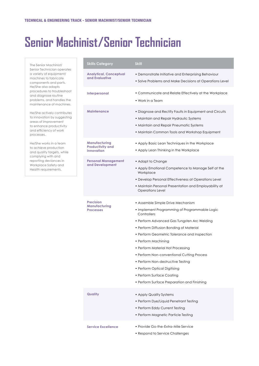## **Senior Machinist/Senior Technician**

The Senior Machinist/ Senior Technician operates a variety of equipment/ machines to fabricate components and parts. He/She also adapts procedures to troubleshoot and diagnose routine problems, and handles the maintenance of machines.

He/She actively contributes to innovation by suggesting areas of improvement to enhance productivity and efficiency of work processes.

He/She works in a team to achieve production and quality targets, while complying with and reporting deviances in Workplace Safety and Health requirements.

| <b>Skills Category</b>                                 | <b>Skill</b>                                                                                                                                                                                                                                                                                                                                                                                                                                                                                           |
|--------------------------------------------------------|--------------------------------------------------------------------------------------------------------------------------------------------------------------------------------------------------------------------------------------------------------------------------------------------------------------------------------------------------------------------------------------------------------------------------------------------------------------------------------------------------------|
| <b>Analytical, Conceptual</b><br>and Evaluative        | • Demonstrate Initiative and Enterprising Behaviour<br>• Solve Problems and Make Decisions at Operations Level                                                                                                                                                                                                                                                                                                                                                                                         |
| Interpersonal                                          | • Communicate and Relate Effectively at the Workplace<br>$\bullet$ Work in a Team                                                                                                                                                                                                                                                                                                                                                                                                                      |
| Maintenance                                            | • Diagnose and Rectify Faults in Equipment and Circuits<br>• Maintain and Repair Hydraulic Systems<br>• Maintain and Repair Pneumatic Systems<br>• Maintain Common Tools and Workshop Equipment                                                                                                                                                                                                                                                                                                        |
| Manufacturing<br><b>Productivity and</b><br>Innovation | • Apply Basic Lean Techniques in the Workplace<br>• Apply Lean Thinking in the Workplace                                                                                                                                                                                                                                                                                                                                                                                                               |
| <b>Personal Management</b><br>and Development          | • Adapt to Change<br>• Apply Emotional Competence to Manage Self at the<br>Workplace<br>• Develop Personal Effectiveness at Operations Level<br>• Maintain Personal Presentation and Employability at<br><b>Operations Level</b>                                                                                                                                                                                                                                                                       |
| <b>Precision</b><br>Manufacturing<br><b>Processes</b>  | • Assemble Simple Drive Mechanism<br>• Implement Programming of Programmable Logic<br>Controllers<br>• Perform Advanced Gas Tungsten Arc Welding<br>• Perform Diffusion Bonding of Material<br>• Perform Geometric Tolerance and Inspection<br>• Perform Machining<br>• Perform Material Hot Processing<br>• Perform Non-conventional Cutting Process<br>• Perform Non-destructive Testing<br>• Perform Optical Digitising<br>• Perform Surface Coating<br>• Perform Surface Preparation and Finishing |
| Quality                                                | • Apply Quality Systems<br>• Perform Dye/Liquid Penetrant Testing<br>• Perform Eddy Current Testing<br>• Perform Magnetic Particle Testing                                                                                                                                                                                                                                                                                                                                                             |
| <b>Service Excellence</b>                              | • Provide Go-the-Extra-Mile Service<br>• Respond to Service Challenges                                                                                                                                                                                                                                                                                                                                                                                                                                 |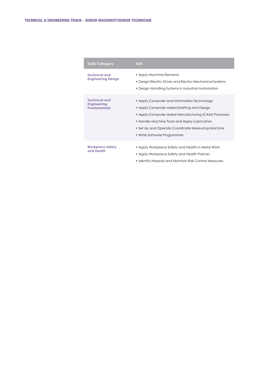| <b>Skills Category</b>                                            | <b>Skill</b>                                                                                                                                                                                                                                                                          |
|-------------------------------------------------------------------|---------------------------------------------------------------------------------------------------------------------------------------------------------------------------------------------------------------------------------------------------------------------------------------|
| <b>Technical and</b><br><b>Engineering Design</b>                 | • Apply Machine Elements<br>• Design Electric Drives and Electro-Mechanical Systems<br>• Design Handling Systems in Industrial Automation                                                                                                                                             |
| <b>Technical and</b><br><b>Engineering</b><br><b>Fundamentals</b> | • Apply Computer and Information Technology<br>• Apply Computer-aided Drafting and Design<br>• Apply Computer-aided Manufacturing (CAM) Processes<br>• Handle Machine Tools and Apply Lubrication<br>• Set Up and Operate Coordinate Measuring Machine<br>• Write Software Programmes |
| <b>Workplace Safety</b><br>and Health                             | • Apply Workplace Safety and Health in Metal Work<br>• Apply Workplace Safety and Health Policies<br>• Identify Hazards and Maintain Risk Control Measures                                                                                                                            |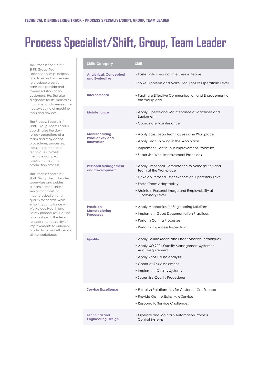## **Process Specialist/Shift, Group, Team Leader**

The Process Specialist/ Shift, Group, Team Leader applies principles, practices and procedures to produce precision parts and provide endto-end solutioning for customers. He/She also diagnoses faults, maintains machines and oversees the housekeeping of machine tools and devices.

The Process Specialist/ Shift, Group, Team Leader coordinates the dayto-day operations of a team and may adapt procedures, processes, tools, equipment and techniques to meet the more complex requirements of the production process.

The Process Specialist/ Shift, Group, Team Leader supervises and guides a team of machinists/ senior machinists to meet production and quality standards, while ensuring compliance with Workplace Health and Safety procedures. He/She also works with the team to assess the feasibility of improvements to enhance productivity and efficiency at the workplace.

| <b>Skills Category</b>                                        | <b>Skill</b>                                                                                                                                                                                                                                                   |
|---------------------------------------------------------------|----------------------------------------------------------------------------------------------------------------------------------------------------------------------------------------------------------------------------------------------------------------|
| <b>Analytical, Conceptual</b><br>and Evaluative               | • Foster Initiative and Enterprise in Teams<br>· Solve Problems and Make Decisions at Operations Level                                                                                                                                                         |
| <b>Interpersonal</b>                                          | • Facilitate Effective Communication and Engagement at<br>the Workplace                                                                                                                                                                                        |
| <b>Maintenance</b>                                            | • Apply Operational Maintenance of Machines and<br>Equipment<br>• Coordinate Maintenance                                                                                                                                                                       |
| Manufacturing<br><b>Productivity and</b><br><b>Innovation</b> | • Apply Basic Lean Techniques in the Workplace<br>• Apply Lean Thinking in the Workplace<br>• Implement Continuous Improvement Processes<br>• Supervise Work Improvement Processes                                                                             |
| <b>Personal Management</b><br>and Development                 | • Apply Emotional Competence to Manage Self and<br>Team at the Workplace<br>· Develop Personal Effectiveness at Supervisory Level<br>• Foster Team Adaptability<br>• Maintain Personal Image and Employability at<br>Supervisory Level                         |
| <b>Precision</b><br>Manufacturing<br><b>Processes</b>         | • Apply Mechanics for Engineering Solutions<br>• Implement Good Documentation Practices<br>• Perform Cutting Processes<br>• Perform In-process Inspection                                                                                                      |
| Quality                                                       | • Apply Failure Mode and Effect Analysis Techniques<br>• Apply ISO 9001 Quality Management System to<br><b>Audit Requirements</b><br>• Apply Root Cause Analysis<br>• Conduct Risk Assessment<br>• Implement Quality Systems<br>• Supervise Quality Procedures |
| <b>Service Excellence</b>                                     | • Establish Relationships for Customer Confidence<br>• Provide Go-the-Extra-Mile Service<br>• Respond to Service Challenges                                                                                                                                    |
| <b>Technical and</b><br><b>Engineering Design</b>             | • Operate and Maintain Automation Process<br>Control Systems                                                                                                                                                                                                   |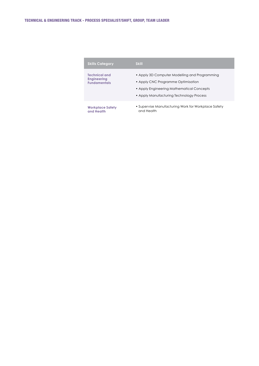| <b>Skills Category</b>                                     | <b>Skill</b>                                                                                                                                                                 |
|------------------------------------------------------------|------------------------------------------------------------------------------------------------------------------------------------------------------------------------------|
| Technical and<br><b>Engineering</b><br><b>Fundamentals</b> | • Apply 3D Computer Modelling and Programming<br>• Apply CNC Programme Optimisation<br>• Apply Engineering Mathematical Concepts<br>• Apply Manufacturing Technology Process |
| Workplace Safety<br>and Health                             | • Supervise Manufacturing Work for Workplace Safety<br>and Health                                                                                                            |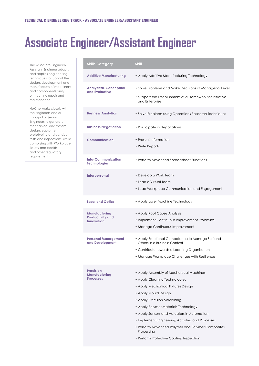## **Associate Engineer/Assistant Engineer**

The Associate Engineer/ Assistant Engineer adapts and applies engineering techniques to support the design, development and manufacture of machinery and components and/ or machine repair and maintenance.

He/She works closely with the Engineers and or Principal or Senior Engineers to generate mechanical and system design, equipment prototyping and conduct tests and inspections, while complying with Workplace Safety and Health and other regulatory requirements.

| <b>Skills Category</b>                                        | <b>Skill</b>                                                                                                                                                                                                                                                                                                                                                                                                                   |
|---------------------------------------------------------------|--------------------------------------------------------------------------------------------------------------------------------------------------------------------------------------------------------------------------------------------------------------------------------------------------------------------------------------------------------------------------------------------------------------------------------|
| <b>Additive Manufacturing</b>                                 | • Apply Additive Manufacturing Technology                                                                                                                                                                                                                                                                                                                                                                                      |
| <b>Analytical, Conceptual</b><br>and Evaluative               | • Solve Problems and Make Decisions at Managerial Level<br>• Support the Establishment of a Framework for Initiative<br>and Enterprise                                                                                                                                                                                                                                                                                         |
| <b>Business Analytics</b>                                     | • Solve Problems using Operations Research Techniques                                                                                                                                                                                                                                                                                                                                                                          |
| <b>Business Negotiation</b>                                   | • Participate in Negotiations                                                                                                                                                                                                                                                                                                                                                                                                  |
| Communication                                                 | • Present Information<br>• Write Reports                                                                                                                                                                                                                                                                                                                                                                                       |
| <b>Info-Communication</b><br><b>Technologies</b>              | • Perform Advanced Spreadsheet Functions                                                                                                                                                                                                                                                                                                                                                                                       |
| Interpersonal                                                 | • Develop a Work Team<br>• Lead a Virtual Team<br>• Lead Workplace Communication and Engagement                                                                                                                                                                                                                                                                                                                                |
| <b>Laser and Optics</b>                                       | • Apply Laser Machine Technology                                                                                                                                                                                                                                                                                                                                                                                               |
| Manufacturing<br><b>Productivity and</b><br><b>Innovation</b> | • Apply Root Cause Analysis<br>• Implement Continuous Improvement Processes<br>• Manage Continuous Improvement                                                                                                                                                                                                                                                                                                                 |
| <b>Personal Management</b><br>and Development                 | • Apply Emotional Competence to Manage Self and<br>Others in a Business Context<br>• Contribute towards a Learning Organisation<br>• Manage Workplace Challenges with Resilience                                                                                                                                                                                                                                               |
| <b>Precision</b><br>Manufacturing<br><b>Processes</b>         | • Apply Assembly of Mechanical Machines<br>• Apply Cleaning Technologies<br>• Apply Mechanical Fixtures Design<br>• Apply Mould Design<br>• Apply Precision Machining<br>• Apply Polymer Materials Technology<br>• Apply Sensors and Actuators in Automation<br>• Implement Engineering Activities and Processes<br>• Perform Advanced Polymer and Polymer Composites<br>Processing<br>• Perform Protective Coating Inspection |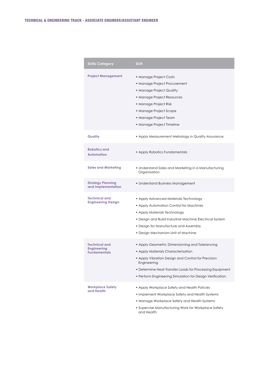| <b>Skills Category</b>                                            | <b>Skill</b>                                                                                                                                                                                                                                                                      |
|-------------------------------------------------------------------|-----------------------------------------------------------------------------------------------------------------------------------------------------------------------------------------------------------------------------------------------------------------------------------|
| <b>Project Management</b>                                         | • Manage Project Costs<br>• Manage Project Procurement<br>• Manage Project Quality<br>• Manage Project Resources<br>• Manage Project Risk<br>• Manage Project Scope<br>• Manage Project Team<br>• Manage Project Timeline                                                         |
| Quality                                                           | • Apply Measurement Metrology in Quality Assurance                                                                                                                                                                                                                                |
| <b>Robotics and</b><br><b>Automation</b>                          | • Apply Robotics Fundamentals                                                                                                                                                                                                                                                     |
| <b>Sales and Marketing</b>                                        | • Understand Sales and Marketing in a Manufacturing<br>Organisation                                                                                                                                                                                                               |
| <b>Strategy Planning</b><br>and Implementation                    | • Understand Business Management                                                                                                                                                                                                                                                  |
| <b>Technical and</b><br><b>Engineering Design</b>                 | • Apply Advanced Materials Technology<br>• Apply Automation Control for Machines<br>• Apply Materials Technology<br>• Design and Build Industrial Machine Electrical System<br>• Design for Manufacture and Assembly<br>• Design Mechanism Unit of Machine                        |
| <b>Technical and</b><br><b>Engineering</b><br><b>Fundamentals</b> | • Apply Geometric Dimensioning and Tolerancing<br>• Apply Materials Characterisation<br>• Apply Vibration Design and Control for Precision<br>Engineering<br>• Determine Heat Transfer Loads for Processing Equipment<br>• Perform Engineering Simulation for Design Verification |
| <b>Workplace Safety</b><br>and Health                             | • Apply Workplace Safety and Health Policies<br>• Implement Workplace Safety and Health Systems<br>• Manage Workplace Safety and Health Systems<br>• Supervise Manufacturing Work for Workplace Safety<br>and Health                                                              |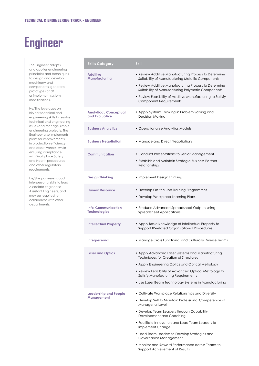# **Engineer**

The Engineer adapts and applies engineering principles and techniques to design and develop machinery and components, generate prototypes and/ or implement system modifications.

He/She leverages on his/her technical and engineering skills to resolve technical and engineering issues and manage simple engineering projects. The Engineer also implements plans for improvements in production efficiency and effectiveness, while ensuring compliance with Workplace Safety and Health procedures and other regulatory requirements.

He/She possesses good interpersonal skills to lead Associate Engineers/ Assistant Engineers, and may be required to collaborate with other departments.

| <b>Skills Category</b>                           | <b>Skill</b>                                                                                                                   |
|--------------------------------------------------|--------------------------------------------------------------------------------------------------------------------------------|
| <b>Additive</b><br>Manufacturing                 | • Review Additive Manufacturing Process to Determine<br>Suitability of Manufacturing Metallic Components                       |
|                                                  | • Review Additive Manufacturing Process to Determine<br>Suitability of Manufacturing Polymeric Components                      |
|                                                  | • Review Feasibility of Additive Manufacturing to Satisfy<br><b>Component Requirements</b>                                     |
| <b>Analytical, Conceptual</b><br>and Evaluative  | • Apply Systems Thinking in Problem Solving and<br><b>Decision Making</b>                                                      |
| <b>Business Analytics</b>                        | • Operationalise Analytics Models                                                                                              |
| <b>Business Negotiation</b>                      | • Manage and Direct Negotiations                                                                                               |
| <b>Communication</b>                             | • Conduct Presentations to Senior Management<br>• Establish and Maintain Strategic Business Partner<br>Relationships           |
| <b>Design Thinking</b>                           | • Implement Design Thinking                                                                                                    |
| <b>Human Resource</b>                            | • Develop On-the-Job Training Programmes<br>• Develop Workplace Learning Plans                                                 |
| <b>Info-Communication</b><br><b>Technologies</b> | • Produce Advanced Spreadsheet Outputs using<br><b>Spreadsheet Applications</b>                                                |
| <b>Intellectual Property</b>                     | • Apply Basic Knowledge of Intellectual Property to<br>Support IP-related Organisational Procedures                            |
| Interpersonal                                    | • Manage Cross Functional and Culturally Diverse Teams                                                                         |
| <b>Laser and Optics</b>                          | • Apply Advanced Laser Systems and Manufacturing<br>Techniques for Creation of Structures                                      |
|                                                  | • Apply Engineering Optics and Optical Metrology<br>• Review Feasibility of Advanced Optical Metrology to                      |
|                                                  | Satisfy Manufacturing Requirements                                                                                             |
|                                                  | • Use Laser Beam Technology Systems in Manufacturing                                                                           |
| <b>Leadership and People</b><br>Management       | • Cultivate Workplace Relationships and Diversity<br>• Develop Self to Maintain Professional Competence at<br>Managerial Level |
|                                                  | • Develop Team Leaders through Capability<br>Development and Coaching                                                          |
|                                                  | • Facilitate Innovation and Lead Team Leaders to<br>Implement Change                                                           |
|                                                  | • Lead Team Leaders to Develop Strategies and<br>Governance Management                                                         |
|                                                  | • Monitor and Reward Performance across Teams to<br>Support Achievement of Results                                             |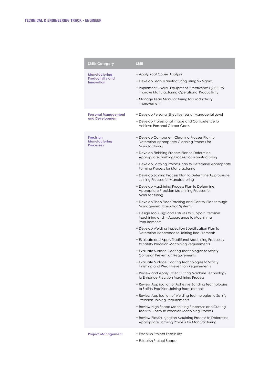| <b>Skills Category</b>                                        | <b>Skill</b>                                                                                                                                                                                                                                                                                                                                                                                                                                                                                                                                                                                                                                                                                                                                                                                                                                                                                                                                                                                                                                                                                                                                                                                                                                                                                                                                                                                                                                                                                                                                                                                                                                                                                |
|---------------------------------------------------------------|---------------------------------------------------------------------------------------------------------------------------------------------------------------------------------------------------------------------------------------------------------------------------------------------------------------------------------------------------------------------------------------------------------------------------------------------------------------------------------------------------------------------------------------------------------------------------------------------------------------------------------------------------------------------------------------------------------------------------------------------------------------------------------------------------------------------------------------------------------------------------------------------------------------------------------------------------------------------------------------------------------------------------------------------------------------------------------------------------------------------------------------------------------------------------------------------------------------------------------------------------------------------------------------------------------------------------------------------------------------------------------------------------------------------------------------------------------------------------------------------------------------------------------------------------------------------------------------------------------------------------------------------------------------------------------------------|
| Manufacturing<br><b>Productivity and</b><br><b>Innovation</b> | • Apply Root Cause Analysis<br>• Develop Lean Manufacturing using Six Sigma<br>• Implement Overall Equipment Effectiveness (OEE) to<br>Improve Manufacturing Operational Productivity<br>• Manage Lean Manufacturing for Productivity<br>Improvement                                                                                                                                                                                                                                                                                                                                                                                                                                                                                                                                                                                                                                                                                                                                                                                                                                                                                                                                                                                                                                                                                                                                                                                                                                                                                                                                                                                                                                        |
| <b>Personal Management</b><br>and Development                 | • Develop Personal Effectiveness at Managerial Level<br>• Develop Professional Image and Competence to<br>Achieve Personal Career Goals                                                                                                                                                                                                                                                                                                                                                                                                                                                                                                                                                                                                                                                                                                                                                                                                                                                                                                                                                                                                                                                                                                                                                                                                                                                                                                                                                                                                                                                                                                                                                     |
| <b>Precision</b><br>Manufacturing<br><b>Processes</b>         | • Develop Component Cleaning Process Plan to<br>Determine Appropriate Cleaning Process for<br>Manufacturing<br>• Develop Finishing Process Plan to Determine<br>Appropriate Finishing Process for Manufacturing<br>• Develop Forming Process Plan to Determine Appropriate<br>Forming Process for Manufacturing<br>• Develop Joining Process Plan to Determine Appropriate<br>Joining Process for Manufacturing<br>• Develop Machining Process Plan to Determine<br>Appropriate Precision Machining Process for<br>Manufacturing<br>• Develop Shop Floor Tracking and Control Plan through<br>Management Execution Systems<br>• Design Tools, Jigs and Fixtures to Support Precision<br>Machining and In Accordance to Machining<br>Requirements<br>• Develop Welding Inspection Specification Plan to<br>Determine Adherence to Joining Requirements<br>• Evaluate and Apply Traditional Machining Processes<br>to Satisfy Precision Machining Requirements<br>• Evaluate Surface Coating Technologies to Satisfy<br><b>Corrosion Prevention Requirements</b><br>• Evaluate Surface Coating Technologies to Satisfy<br>Finishing and Wear Prevention Requirements<br>• Review and Apply Laser Cutting Machine Technology<br>to Enhance Precision Machining Process<br>• Review Application of Adhesive Bonding Technologies<br>to Satisfy Precision Joining Requirements<br>• Review Application of Welding Technologies to Satisfy<br>Precision Joining Requirements<br>• Review High Speed Machining Processes and Cutting<br>Tools to Optimise Precision Machining Process<br>• Review Plastic Injection Moulding Process to Determine<br>Appropriate Forming Process for Manufacturing |
| <b>Project Management</b>                                     | • Establish Project Feasibility                                                                                                                                                                                                                                                                                                                                                                                                                                                                                                                                                                                                                                                                                                                                                                                                                                                                                                                                                                                                                                                                                                                                                                                                                                                                                                                                                                                                                                                                                                                                                                                                                                                             |

• Establish Project Scope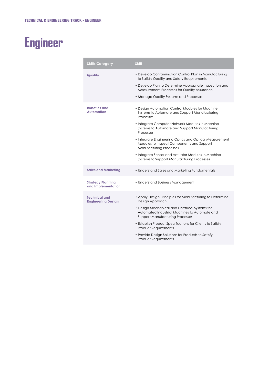# **Engineer**

| <b>Skills Category</b>                            | <b>Skill</b>                                                                                                                                                                                                                                                                                                                                                                                                                                                                |
|---------------------------------------------------|-----------------------------------------------------------------------------------------------------------------------------------------------------------------------------------------------------------------------------------------------------------------------------------------------------------------------------------------------------------------------------------------------------------------------------------------------------------------------------|
| Quality                                           | • Develop Contamination Control Plan in Manufacturing<br>to Satisfy Quality and Safety Requirements<br>• Develop Plan to Determine Appropriate Inspection and<br>Measurement Processes for Quality Assurance<br>• Manage Quality Systems and Processes                                                                                                                                                                                                                      |
| <b>Robotics and</b><br><b>Automation</b>          | • Design Automation Control Modules for Machine<br>Systems to Automate and Support Manufacturing<br>Processes<br>• Integrate Computer Network Modules in Machine<br>Systems to Automate and Support Manufacturing<br>Processes<br>• Integrate Engineering Optics and Optical Measurement<br>Modules to Inspect Components and Support<br><b>Manufacturing Processes</b><br>• Integrate Sensor and Actuator Modules in Machine<br>Systems to Support Manufacturing Processes |
| <b>Sales and Marketing</b>                        | • Understand Sales and Marketing Fundamentals                                                                                                                                                                                                                                                                                                                                                                                                                               |
| <b>Strategy Planning</b><br>and Implementation    | • Understand Business Management                                                                                                                                                                                                                                                                                                                                                                                                                                            |
| <b>Technical and</b><br><b>Engineering Design</b> | • Apply Design Principles for Manufacturing to Determine<br>Design Approach<br>• Design Mechanical and Electrical Systems for<br>Automated Industrial Machines to Automate and<br><b>Support Manufacturing Processes</b><br>• Establish Product Specifications for Clients to Satisfy<br><b>Product Requirements</b><br>• Provide Design Solutions for Products to Satisfy<br><b>Product Requirements</b>                                                                   |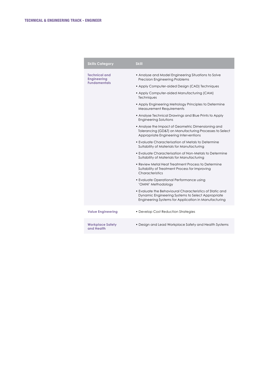| <b>Skills Category</b>                     | <b>Skill</b>                                                                                                                                                          |
|--------------------------------------------|-----------------------------------------------------------------------------------------------------------------------------------------------------------------------|
| <b>Technical and</b><br><b>Engineering</b> | • Analyse and Model Engineering Situations to Solve<br><b>Precision Engineering Problems</b>                                                                          |
| <b>Fundamentals</b>                        | • Apply Computer-aided Design (CAD) Techniques                                                                                                                        |
|                                            | • Apply Computer-aided Manufacturing (CAM)<br>Techniques                                                                                                              |
|                                            | • Apply Engineering Metrology Principles to Determine<br><b>Measurement Requirements</b>                                                                              |
|                                            | • Analyse Technical Drawings and Blue Prints to Apply<br><b>Engineering Solutions</b>                                                                                 |
|                                            | • Analyse the Impact of Geometric Dimensioning and<br>Tolerancing (GD&T) on Manufacturing Processes to Select<br>Appropriate Engineering Interventions                |
|                                            | • Evaluate Characterisation of Metals to Determine<br>Suitability of Materials for Manufacturing                                                                      |
|                                            | • Evaluate Characterisation of Non-Metals to Determine<br>Suitability of Materials for Manufacturing                                                                  |
|                                            | • Review Metal Heat Treatment Process to Determine<br>Suitability of Treatment Process for Improving<br>Characteristics                                               |
|                                            | • Evaluate Operational Performance using<br>'OMNI' Methodology                                                                                                        |
|                                            | • Evaluate the Behavioural Characteristics of Static and<br>Dynamic Engineering Systems to Select Appropriate<br>Engineering Systems for Application in Manufacturing |
| <b>Value Engineering</b>                   | • Develop Cost Reduction Strategies                                                                                                                                   |
| <b>Workplace Safety</b><br>and Health      | • Design and Lead Workplace Safety and Health Systems                                                                                                                 |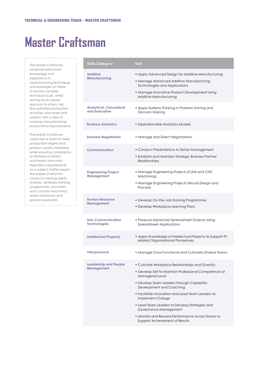#### **Master Craftsman**

The Master Craftsman possesses advanced knowledge and experience in manufacturing techniques and leverages on these to resolve complex technical issues, while serving as an expert resource to others. He/ She optimises production activities, processes and systems with a view to increase manufacturing productivity improvements.

The Master Craftsman supervises a team to meet production targets and product quality standards while ensuring compliance to Workplace Safety and Health and other regulatory requirements. As a subject matter expert, the Master Craftsman conducts training needs analysis, develops training programmes, and trains and coaches machinists, senior machinists and process specialists.

| <b>Skills Category</b>                           | <b>Skill</b>                                                                                                                                                                                                                                                |
|--------------------------------------------------|-------------------------------------------------------------------------------------------------------------------------------------------------------------------------------------------------------------------------------------------------------------|
| <b>Additive</b><br>Manufacturing                 | • Apply Advanced Design for Additive Manufacturing<br>• Manage Advanced Additive Manufacturing<br>Technologies and Applications<br>• Manage Innovative Product Development Using<br>Additive Manufacturing                                                  |
| <b>Analytical, Conceptual</b><br>and Evaluative  | • Apply Systems Thinking in Problem Solving and<br><b>Decision Makina</b>                                                                                                                                                                                   |
| <b>Business Analytics</b>                        | • Operationalise Analytics Models                                                                                                                                                                                                                           |
| <b>Business Negotiation</b>                      | • Manage and Direct Negotiations                                                                                                                                                                                                                            |
| <b>Communication</b>                             | • Conduct Presentations to Senior Management<br>• Establish and Maintain Strategic Business Partner<br>Relationships                                                                                                                                        |
| <b>Engineering Project</b><br>Management         | • Manage Engineering Projects (CAM and CNC<br>Machining)<br>• Manage Engineering Projects (Mould Design and<br>Process)                                                                                                                                     |
| <b>Human Resource</b><br>Management              | • Develop On-the-Job Training Programmes<br>• Develop Workplace Learning Plans                                                                                                                                                                              |
| <b>Info-Communication</b><br><b>Technologies</b> | • Produce Advanced Spreadsheet Outputs Using<br><b>Spreadsheet Applications</b>                                                                                                                                                                             |
| <b>Intellectual Property</b>                     | . Apply Knowledge of Intellectual Property to Support IP -<br>related Organisational Procedures                                                                                                                                                             |
| Interpersonal                                    | . Manage Cross Functional and Culturally Diverse Teams                                                                                                                                                                                                      |
| <b>Leadership and People</b><br>Management       | • Cultivate Workplace Relationships and Diversity<br>• Develop Self to Maintain Professional Competence at<br>Managerial Level<br>• Develop Team Leaders through Capability<br>Development and Coaching<br>• Facilitate Innovation and Lead Team Leaders to |
|                                                  | Implement Change<br>• Lead Team Leaders to Develop Strategies and<br>Governance Management                                                                                                                                                                  |
|                                                  | • Monitor and Reward Performance Across Teams to<br>Support Achievement of Results                                                                                                                                                                          |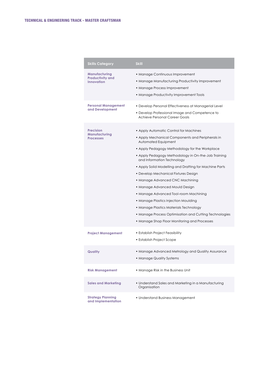| <b>Skills Category</b>                                        | <b>Skill</b>                                                                                                                                                                                                                                                                                                                                                                                                                                                                                                                                                                                                                                                         |
|---------------------------------------------------------------|----------------------------------------------------------------------------------------------------------------------------------------------------------------------------------------------------------------------------------------------------------------------------------------------------------------------------------------------------------------------------------------------------------------------------------------------------------------------------------------------------------------------------------------------------------------------------------------------------------------------------------------------------------------------|
| Manufacturing<br><b>Productivity and</b><br><b>Innovation</b> | • Manage Continuous Improvement<br>• Manage Manufacturing Productivity Improvement<br>• Manage Process Improvement<br>• Manage Productivity Improvement Tools                                                                                                                                                                                                                                                                                                                                                                                                                                                                                                        |
| <b>Personal Management</b><br>and Development                 | • Develop Personal Effectiveness at Managerial Level<br>• Develop Professional Image and Competence to<br>Achieve Personal Career Goals                                                                                                                                                                                                                                                                                                                                                                                                                                                                                                                              |
| <b>Precision</b><br>Manufacturing<br><b>Processes</b>         | • Apply Automatic Control for Machines<br>• Apply Mechanical Components and Peripherals in<br>Automated Equipment<br>• Apply Pedagogy Methodology for the Workplace<br>• Apply Pedagogy Methodology in On-the-Job Training<br>and Information Technology<br>• Apply Solid Modelling and Drafting for Machine Parts<br>• Develop Mechanical Fixtures Design<br>• Manage Advanced CNC Machining<br>• Manage Advanced Mould Design<br>• Manage Advanced Tool-room Machining<br>• Manage Plastics Injection Moulding<br>• Manage Plastics Materials Technology<br>• Manage Process Optimisation and Cutting Technologies<br>• Manage Shop Floor Monitoring and Processes |
| <b>Project Management</b>                                     | • Establish Project Feasibility<br>• Establish Project Scope                                                                                                                                                                                                                                                                                                                                                                                                                                                                                                                                                                                                         |
| Quality                                                       | • Manage Advanced Metrology and Quality Assurance<br>• Manage Quality Systems                                                                                                                                                                                                                                                                                                                                                                                                                                                                                                                                                                                        |
| <b>Risk Management</b>                                        | • Manage Risk in the Business Unit                                                                                                                                                                                                                                                                                                                                                                                                                                                                                                                                                                                                                                   |
| <b>Sales and Marketing</b>                                    | • Understand Sales and Marketing in a Manufacturing<br>Organisation                                                                                                                                                                                                                                                                                                                                                                                                                                                                                                                                                                                                  |
| <b>Strategy Planning</b><br>and Implementation                | • Understand Business Management                                                                                                                                                                                                                                                                                                                                                                                                                                                                                                                                                                                                                                     |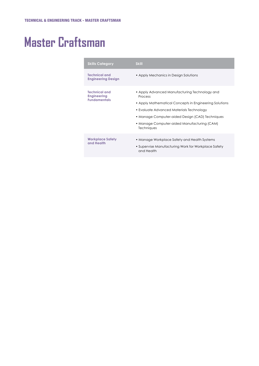# **Master Craftsman**

| <b>Skills Category</b>                                            | <b>Skill</b>                                                                                                                                                                                                                                                                   |
|-------------------------------------------------------------------|--------------------------------------------------------------------------------------------------------------------------------------------------------------------------------------------------------------------------------------------------------------------------------|
| <b>Technical and</b><br><b>Engineering Design</b>                 | • Apply Mechanics in Design Solutions                                                                                                                                                                                                                                          |
| <b>Technical and</b><br><b>Engineering</b><br><b>Fundamentals</b> | • Apply Advanced Manufacturing Technology and<br>Process<br>• Apply Mathematical Concepts in Engineering Solutions<br>• Evaluate Advanced Materials Technology<br>• Manage Computer-aided Design (CAD) Techniques<br>• Manage Computer-aided Manufacturing (CAM)<br>Techniques |
| <b>Workplace Safety</b><br>and Health                             | • Manage Workplace Safety and Health Systems<br>• Supervise Manufacturing Work for Workplace Safety<br>and Health                                                                                                                                                              |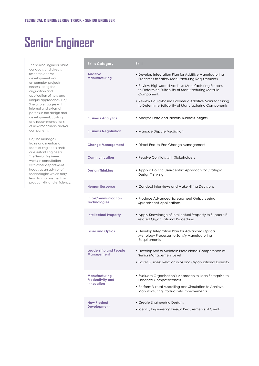### **Senior Engineer**

The Senior Engineer plans, conducts and directs research and/or development work on complex projects, necessitating the origination and application of new and unique approaches. He/ She also engages with internal and external parties in the design and development, costing and recommendations of new machinery and/or components.

He/She manages, trains and mentors a team of Engineers and/ or Assistant Engineers. The Senior Engineer works in consultation with other department heads as an advisor of technologies which may lead to improvements in productivity and efficiency.

| <b>Skills Category</b>                                        | <b>Skill</b>                                                                                                           |
|---------------------------------------------------------------|------------------------------------------------------------------------------------------------------------------------|
| <b>Additive</b><br>Manufacturing                              | • Develop Integration Plan for Additive Manufacturing<br>Processes to Satisfy Manufacturing Requirements               |
|                                                               | • Review High Speed Additive Manufacturing Process<br>to Determine Suitability of Manufacturing Metallic<br>Components |
|                                                               | · Review Liquid-based Polymeric Additive Manufacturing<br>to Determine Suitability of Manufacturing Components         |
| <b>Business Analytics</b>                                     | • Analyse Data and Identify Business Insights                                                                          |
| <b>Business Negotiation</b>                                   | • Manage Dispute Mediation                                                                                             |
| <b>Change Management</b>                                      | • Direct End-to-End Change Management                                                                                  |
| <b>Communication</b>                                          | • Resolve Conflicts with Stakeholders                                                                                  |
| <b>Design Thinking</b>                                        | • Apply a Holistic User-centric Approach for Strategic<br>Design Thinking                                              |
| <b>Human Resource</b>                                         | • Conduct Interviews and Make Hiring Decisions                                                                         |
| <b>Info-Communication</b><br><b>Technologies</b>              | • Produce Advanced Spreadsheet Outputs using<br><b>Spreadsheet Applications</b>                                        |
| <b>Intellectual Property</b>                                  | • Apply Knowledge of Intellectual Property to Support IP-<br>related Organisational Procedures                         |
| <b>Laser and Optics</b>                                       | • Develop Integration Plan for Advanced Optical<br>Metrology Processes to Satisfy Manufacturing<br>Requirements        |
| <b>Leadership and People</b><br>Management                    | • Develop Self to Maintain Professional Competence at<br>Senior Management Level                                       |
|                                                               | • Foster Business Relationships and Organisational Diversity                                                           |
| Manufacturing<br><b>Productivity and</b><br><b>Innovation</b> | • Evaluate Organisation's Approach to Lean Enterprise to<br><b>Enhance Competitiveness</b>                             |
|                                                               | • Perform Virtual Modelling and Simulation to Achieve<br>Manufacturing Productivity Improvements                       |
| <b>New Product</b><br><b>Development</b>                      | • Create Engineering Designs<br>• Identify Engineering Design Requirements of Clients                                  |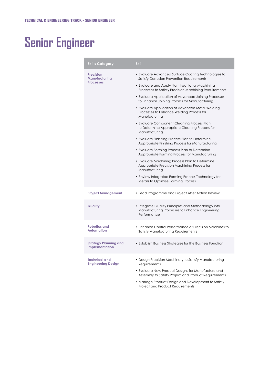# **Senior Engineer**

| <b>Skills Category</b>                                | <b>Skill</b>                                                                                                         |
|-------------------------------------------------------|----------------------------------------------------------------------------------------------------------------------|
| <b>Precision</b><br>Manufacturing<br><b>Processes</b> | • Evaluate Advanced Surface Coating Technologies to<br><b>Satisfy Corrosion Prevention Requirements</b>              |
|                                                       | • Evaluate and Apply Non-traditional Machining<br>Processes to Satisfy Precision Machining Requirements              |
|                                                       | • Evaluate Application of Advanced Joining Processes<br>to Enhance Joining Process for Manufacturing                 |
|                                                       | • Evaluate Application of Advanced Metal Welding<br>Processes to Enhance Welding Process for<br>Manufacturing        |
|                                                       | • Evaluate Component Cleaning Process Plan<br>to Determine Appropriate Cleaning Process for<br>Manufacturing         |
|                                                       | • Evaluate Finishing Process Plan to Determine<br>Appropriate Finishing Process for Manufacturing                    |
|                                                       | • Evaluate Forming Process Plan to Determine<br>Appropriate Forming Process for Manufacturing                        |
|                                                       | • Evaluate Machining Process Plan to Determine<br>Appropriate Precision Machining Process for<br>Manufacturing       |
|                                                       | • Review Integrated Forming Process Technology for<br>Metals to Optimise Forming Process                             |
| <b>Project Management</b>                             | • Lead Programme and Project After Action Review                                                                     |
| Quality                                               | • Integrate Quality Principles and Methodology into<br>Manufacturing Processes to Enhance Engineering<br>Performance |
| <b>Robotics and</b><br><b>Automation</b>              | • Enhance Control Performance of Precision Machines to<br>Satisfy Manufacturing Requirements                         |
| <b>Strategy Planning and</b><br>Implementation        | • Establish Business Strategies for the Business Function                                                            |
| <b>Technical and</b><br><b>Engineering Design</b>     | • Design Precision Machinery to Satisfy Manufacturing<br>Requirements                                                |
|                                                       | • Evaluate New Product Designs for Manufacture and<br>Assembly to Satisfy Project and Product Requirements           |

• Manage Product Design and Development to Satisfy Project and Product Requirements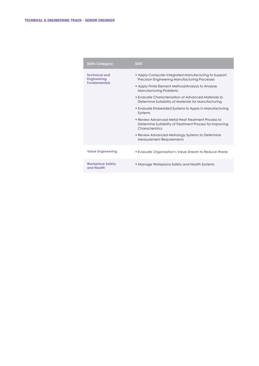| <b>Skills Category</b>                                            | <b>Skill</b>                                                                                                                     |
|-------------------------------------------------------------------|----------------------------------------------------------------------------------------------------------------------------------|
| <b>Technical and</b><br><b>Engineering</b><br><b>Fundamentals</b> | • Apply Computer-integrated Manufacturing to Support<br><b>Precision Engineering Manufacturing Processes</b>                     |
|                                                                   | • Apply Finite Element Method/Analysis to Analyse<br>Manufacturing Problems                                                      |
|                                                                   | • Evaluate Characterisation of Advanced Materials to<br>Determine Suitability of Materials for Manufacturing                     |
|                                                                   | • Evaluate Embedded Systems to Apply in Manufacturing<br>Systems                                                                 |
|                                                                   | • Review Advanced Metal Heat Treatment Process to<br>Determine Suitability of Treatment Process for Improving<br>Characteristics |
|                                                                   | • Review Advanced Metrology Systems to Determine<br><b>Measurement Requirements</b>                                              |
| <b>Value Engineering</b>                                          | • Evaluate Organisation's Value Stream to Reduce Waste                                                                           |
| <b>Workplace Safety</b><br>and Health                             | • Manage Workplace Safety and Health Systems                                                                                     |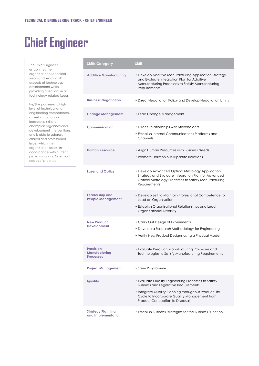## **Chief Engineer**

The Chief Engineer establishes the organisation's technical vision and leads in all aspects of technology development while providing directions in all technology-related issues.

He/She possesses a high level of technical and engineering competence, as well as social and leadership skills to champion organisational development interventions, and is able to address ethical and professional issues which the organisation faces, in accordance with current professional and/or ethical codes of practice.

| <b>Skills Category</b>                                | <b>Skill</b>                                                                                                                                                                                                                                  |
|-------------------------------------------------------|-----------------------------------------------------------------------------------------------------------------------------------------------------------------------------------------------------------------------------------------------|
| <b>Additive Manufacturing</b>                         | • Develop Additive Manufacturing Application Strategy<br>and Evaluate Integration Plan for Additive<br>Manufacturing Processes to Satisfy Manufacturing<br>Requirements                                                                       |
| <b>Business Negotiation</b>                           | • Direct Negotiation Policy and Develop Negotiation Limits                                                                                                                                                                                    |
| <b>Change Management</b>                              | • Lead Change Management                                                                                                                                                                                                                      |
| <b>Communication</b>                                  | • Direct Relationships with Stakeholders<br>• Establish Internal Communications Platforms and<br>Channels                                                                                                                                     |
| <b>Human Resource</b>                                 | • Align Human Resources with Business Needs<br>• Promote Harmonious Tripartite Relations                                                                                                                                                      |
| <b>Laser and Optics</b>                               | • Develop Advanced Optical Metrology Application<br>Strategy and Evaluate Integration Plan for Advanced<br>Optical Metrology Processes to Satisfy Manufacturing<br>Requirements                                                               |
| Leadership and<br><b>People Management</b>            | • Develop Self to Maintain Professional Competence to<br>Lead an Organisation<br>• Establish Organisational Relationships and Lead<br>Organisational Diversity                                                                                |
| <b>New Product</b><br><b>Development</b>              | • Carry Out Design of Experiments<br>• Develop a Research Methodology for Engineering<br>• Verify New Product Designs using a Physical Model                                                                                                  |
| <b>Precision</b><br>Manufacturing<br><b>Processes</b> | • Evaluate Precision Manufacturing Processes and<br>Technologies to Satisfy Manufacturing Requirements                                                                                                                                        |
| <b>Project Management</b>                             | • Steer Programme                                                                                                                                                                                                                             |
| Quality                                               | • Evaluate Quality Engineering Processes to Satisfy<br><b>Business and Legislative Requirements</b><br>• Integrate Quality Planning throughout Product Life<br>Cycle to Incorporate Quality Management from<br>Product Conception to Disposal |
| <b>Strategy Planning</b><br>and Implementation        | • Establish Business Strategies for the Business Function                                                                                                                                                                                     |